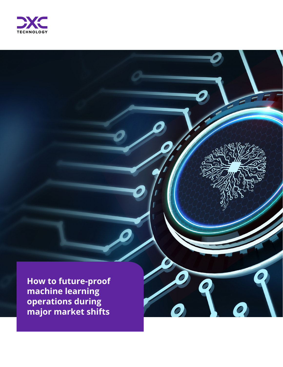

**How to future-proof machine learning operations during major market shifts**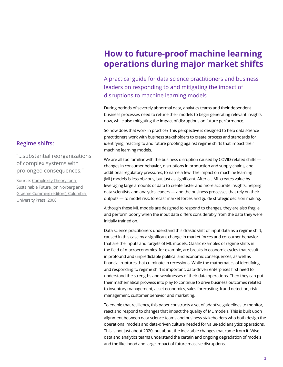# **How to future-proof machine learning operations during major market shifts**

A practical guide for data science practitioners and business leaders on responding to and mitigating the impact of disruptions to machine learning models

During periods of severely abnormal data, analytics teams and their dependent business processes need to retune their models to begin generating relevant insights now, while also mitigating the impact of disruptions on future performance.

So how does that work in practice? This perspective is designed to help data science practitioners work with business stakeholders to create process and standards for identifying, reacting to and future proofing against regime shifts that impact their machine learning models.

We are all too familiar with the business disruption caused by COVID-related shifts changes in consumer behavior, disruptions in production and supply chains, and additional regulatory pressures, to name a few. The impact on machine learning (ML) models is less obvious, but just as significant. After all, ML creates value by leveraging large amounts of data to create faster and more accurate insights, helping data scientists and analytics leaders — and the business processes that rely on their outputs — to model risk, forecast market forces and guide strategic decision making.

Although these ML models are designed to respond to changes, they are also fragile and perform poorly when the input data differs considerably from the data they were initially trained on.

Data science practitioners understand this drastic shift of input data as a regime shift, caused in this case by a significant change in market forces and consumer behavior that are the inputs and targets of ML models. Classic examples of regime shifts in the field of macroeconomics, for example, are breaks in economic cycles that result in profound and unpredictable political and economic consequences, as well as financial ruptures that culminate in recessions. While the mathematics of identifying and responding to regime shift is important, data-driven enterprises first need to understand the strengths and weaknesses of their data operations. Then they can put their mathematical prowess into play to continue to drive business outcomes related to inventory management, asset economics, sales forecasting, fraud detection, risk management, customer behavior and marketing.

To enable that resiliency, this paper constructs a set of adaptive guidelines to monitor, react and respond to changes that impact the quality of ML models. This is built upon alignment between data science teams and business stakeholders who both design the operational models and data-driven culture needed for value-add analytics operations. This is not just about 2020, but about the inevitable changes that came from it. Wise data and analytics teams understand the certain and ongoing degradation of models and the likelihood and large impact of future massive disruptions.

#### **Regime shifts:**

"…substantial reorganizations of complex systems with prolonged consequences."

Source: [Complexity Theory for a](http://cup.columbia.edu/book/complexity-theory-for-a-sustainable-future/9780231134613)  [Sustainable Future, Jon Norberg and](http://cup.columbia.edu/book/complexity-theory-for-a-sustainable-future/9780231134613)  [Graeme Cumming \(editors\), Colombia](http://cup.columbia.edu/book/complexity-theory-for-a-sustainable-future/9780231134613)  [University Press, 2008](http://cup.columbia.edu/book/complexity-theory-for-a-sustainable-future/9780231134613)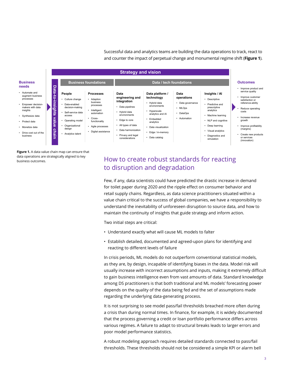Successful data and analytics teams are building the data operations to track, react to and counter the impact of perpetual change and monumental regime shift (**Figure 1**).



**Figure 1.** A data value chain map can ensure that data operations are strategically aligned to key business outcomes.

### How to create robust standards for reacting to disruption and degradation

Few, if any, data scientists could have predicted the drastic increase in demand for toilet paper during 2020 and the ripple effect on consumer behavior and retail supply chains. Regardless, as data science practitioners situated within a value chain critical to the success of global companies, we have a responsibility to understand the inevitability of unforeseen disruption to source data, and how to maintain the continuity of insights that guide strategy and inform action.

Two initial steps are critical:

- Understand exactly what will cause ML models to falter
- Establish detailed, documented and agreed-upon plans for identifying and reacting to different levels of failure

In crisis periods, ML models do not outperform conventional statistical models, as they are, by design, incapable of identifying biases in the data. Model risk will usually increase with incorrect assumptions and inputs, making it extremely difficult to gain business intelligence even from vast amounts of data. Standard knowledge among DS practitioners is that both traditional and ML models' forecasting power depends on the quality of the data being fed and the set of assumptions made regarding the underlying data-generating process.

It is not surprising to see model pass/fail thresholds breached more often during a crisis than during normal times. In finance, for example, it is widely documented that the process governing a credit or loan portfolio performance differs across various regimes. A failure to adapt to structural breaks leads to larger errors and poor model performance statistics.

A robust modeling approach requires detailed standards connected to pass/fail thresholds. These thresholds should not be considered a simple KPI or alarm bell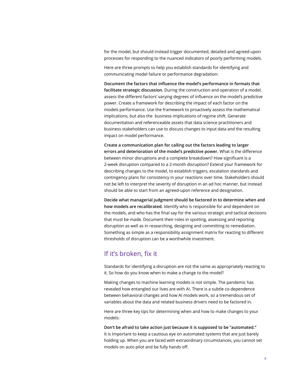for the model, but should instead trigger documented, detailed and agreed-upon processes for responding to the nuanced indicators of poorly performing models.

Here are three prompts to help you establish standards for identifying and communicating model failure or performance degradation:

**Document the factors that influence the model's performance in formats that facilitate strategic discussion.** During the construction and operation of a model, assess the different factors' varying degrees of influence on the model's predictive power. Create a framework for describing the impact of each factor on the models performance. Use the framework to proactively assess the mathematical implications, but also the business implications of regime shift. Generate documentation and referenceable assets that data science practitioners and business stakeholders can use to discuss changes to input data and the resulting impact on model performance.

**Create a communication plan for calling out the factors leading to larger errors and deterioration of the model's predictive power.** What is the difference between minor disruptions and a complete breakdown? How significant is a 2-week disruption compared to a 2-month disruption? Extend your framework for describing changes to the model, to establish triggers, escalation standards and contingency plans for consistency in your reactions over time. Stakeholders should not be left to interpret the severity of disruption in an ad hoc manner, but instead should be able to start from an agreed-upon reference and designation.

**Decide what managerial judgment should be factored in to determine when and how models are recalibrated.** Identify who is responsible for and dependent on the models, and who has the final say for the various strategic and tactical decisions that must be made. Document their roles in spotting, assessing and reporting disruption as well as in researching, designing and committing to remediation. Something as simple as a responsibility assignment matrix for reacting to different thresholds of disruption can be a worthwhile investment.

### If it's broken, fix it

Standards for identifying a disruption are not the same as appropriately reacting to it. So how do you know when to make a change to the model?

Making changes to machine learning models is not simple. The pandemic has revealed how entangled our lives are with AI. There is a subtle co-dependence between behavioral changes and how AI models work, so a tremendous set of variables about the data and related business drivers need to be factored in.

Here are three key tips for determining when and how to make changes to your models:

**Don't be afraid to take action just because it is supposed to be "automated."**  It is Important to keep a cautious eye on automated systems that are just barely holding up. When you are faced with extraordinary circumstances, you cannot set models on auto pilot and be fully hands off.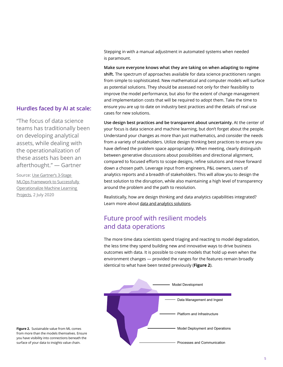Stepping in with a manual adjustment in automated systems when needed is paramount.

**Make sure everyone knows what they are taking on when adapting to regime shift.** The spectrum of approaches available for data science practitioners ranges from simple to sophisticated. New mathematical and computer models will surface as potential solutions. They should be assessed not only for their feasibility to improve the model performance, but also for the extent of change management and implementation costs that will be required to adopt them. Take the time to ensure you are up to date on industry best practices and the details of real use cases for new solutions.

**Use design best practices and be transparent about uncertainty.** At the center of your focus is data science and machine learning, but don't forget about the people. Understand your changes as more than just mathematics, and consider the needs from a variety of stakeholders. Utilize design thinking best practices to ensure you have defined the problem space appropriately. When meeting, clearly distinguish between generative discussions about possibilities and directional alignment, compared to focused efforts to scope designs, refine solutions and move forward down a chosen path. Leverage input from engineers, P&L owners, users of analytics reports and a breadth of stakeholders. This will allow you to design the best solution to the disruption, while also maintaining a high level of transparency around the problem and the path to resolution.

Realistically, how are design thinking and data analytics capabilities integrated? Learn more about [data and analytics solutions](https://dxc.com/us/en/services/analytics-and-engineering/data-and-analytics).

## Future proof with resilient models and data operations

The more time data scientists spend triaging and reacting to model degradation, the less time they spend building new and innovative ways to drive business outcomes with data. It is possible to create models that hold up even when the environment changes — provided the ranges for the features remain broadly identical to what have been tested previously (**Figure 2**).



#### **Hurdles faced by AI at scale:**

"The focus of data science teams has traditionally been on developing analytical assets, while dealing with the operationalization of these assets has been an afterthought." — Gartner

Source: [Use Gartner's 3-Stage](https://www.gartner.com/account/signin?method=initialize&TARGET=http%3A%2F%2Fwww.gartner.com%2Fdocument%2F3880054%3Fref%3DsolrAll%26refval%3D207961513%26qid%3Dfbd14e4d90df8944dc129bdc339bc5b6)  [MLOps Framework to Successfully](https://www.gartner.com/account/signin?method=initialize&TARGET=http%3A%2F%2Fwww.gartner.com%2Fdocument%2F3880054%3Fref%3DsolrAll%26refval%3D207961513%26qid%3Dfbd14e4d90df8944dc129bdc339bc5b6)  [Operationalize Machine Learning](https://www.gartner.com/account/signin?method=initialize&TARGET=http%3A%2F%2Fwww.gartner.com%2Fdocument%2F3880054%3Fref%3DsolrAll%26refval%3D207961513%26qid%3Dfbd14e4d90df8944dc129bdc339bc5b6)  [Projects](https://www.gartner.com/account/signin?method=initialize&TARGET=http%3A%2F%2Fwww.gartner.com%2Fdocument%2F3880054%3Fref%3DsolrAll%26refval%3D207961513%26qid%3Dfbd14e4d90df8944dc129bdc339bc5b6), 2 July 2020

**Figure 2.** Sustainable value from ML comes from more than the models themselves. Ensure you have visibility into connections beneath the surface of your data to insights value chain.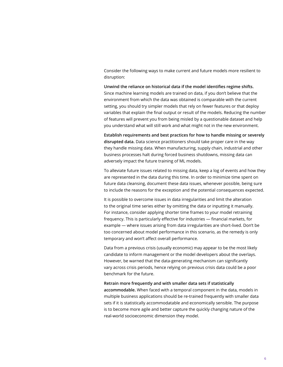Consider the following ways to make current and future models more resilient to disruption:

**Unwind the reliance on historical data if the model identifies regime shifts.**  Since machine learning models are trained on data, if you don't believe that the environment from which the data was obtained is comparable with the current setting, you should try simpler models that rely on fewer features or that deploy variables that explain the final output or result of the models. Reducing the number of features will prevent you from being misled by a questionable dataset and help you understand what will still work and what might not in the new environment.

**Establish requirements and best practices for how to handle missing or severely disrupted data.** Data science practitioners should take proper care in the way they handle missing data. When manufacturing, supply chain, industrial and other business processes halt during forced business shutdowns, missing data can adversely impact the future training of ML models.

To alleviate future issues related to missing data, keep a log of events and how they are represented in the data during this time. In order to minimize time spent on future data cleansing, document these data issues, whenever possible, being sure to include the reasons for the exception and the potential consequences expected.

It is possible to overcome issues in data irregularities and limit the alteration to the original time series either by omitting the data or inputting it manually. For instance, consider applying shorter time frames to your model retraining frequency. This is particularly effective for industries — financial markets, for example — where issues arising from data irregularities are short-lived. Don't be too concerned about model performance in this scenario, as the remedy is only temporary and won't affect overall performance.

Data from a previous crisis (usually economic) may appear to be the most likely candidate to inform management or the model developers about the overlays. However, be warned that the data-generating mechanism can significantly vary across crisis periods, hence relying on previous crisis data could be a poor benchmark for the future.

#### **Retrain more frequently and with smaller data sets if statistically**

**accommodable.** When faced with a temporal component in the data, models in multiple business applications should be re-trained frequently with smaller data sets if it is statistically accommodatable and economically sensible. The purpose is to become more agile and better capture the quickly changing nature of the real-world socioeconomic dimension they model.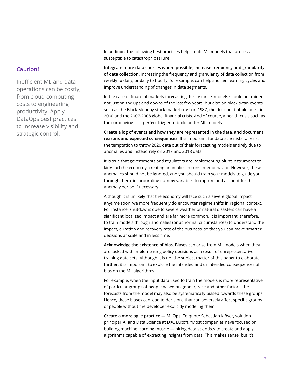#### **Caution!**

Inefficient ML and data operations can be costly, from cloud computing costs to engineering productivity. Apply DataOps best practices to increase visibility and strategic control.

In addition, the following best practices help create ML models that are less susceptible to catastrophic failure:

**Integrate more data sources where possible, increase frequency and granularity of data collection.** Increasing the frequency and granularity of data collection from weekly to daily, or daily to hourly, for example, can help shorten learning cycles and improve understanding of changes in data segments.

In the case of financial markets forecasting, for instance, models should be trained not just on the ups and downs of the last few years, but also on black swan events such as the Black Monday stock market crash in 1987, the dot-com bubble burst in 2000 and the 2007-2008 global financial crisis. And of course, a health crisis such as the coronavirus is a perfect trigger to build better ML models.

**Create a log of events and how they are represented in the data, and document reasons and expected consequences.** It is important for data scientists to resist the temptation to throw 2020 data out of their forecasting models entirely due to anomalies and instead rely on 2019 and 2018 data.

It is true that governments and regulators are implementing blunt instruments to kickstart the economy, creating anomalies in consumer behavior. However, these anomalies should not be ignored, and you should train your models to guide you through them, incorporating dummy variables to capture and account for the anomaly period if necessary.

Although it is unlikely that the economy will face such a severe global impact anytime soon, we more frequently do encounter regime shifts in regional context. For instance, shutdowns due to severe weather or natural disasters can have a significant localized impact and are far more common. It is important, therefore, to train models through anomalies (or abnormal circumstances) to understand the impact, duration and recovery rate of the business, so that you can make smarter decisions at scale and in less time.

**Acknowledge the existence of bias.** Biases can arise from ML models when they are tasked with implementing policy decisions as a result of unrepresentative training data sets. Although it is not the subject matter of this paper to elaborate further, it is important to explore the intended and unintended consequences of bias on the ML algorithms.

For example, when the input data used to train the models is more representative of particular groups of people based on gender, race and other factors, the forecasts from the model may also be systematically biased towards these groups. Hence, these biases can lead to decisions that can adversely affect specific groups of people without the developer explicitly modeling them.

**Create a more agile practice — MLOps.** To quote Sebastian Klöser, solution principal, AI and Data Science at DXC Luxoft, "Most companies have focused on building machine learning muscle — hiring data scientists to create and apply algorithms capable of extracting insights from data. This makes sense, but it's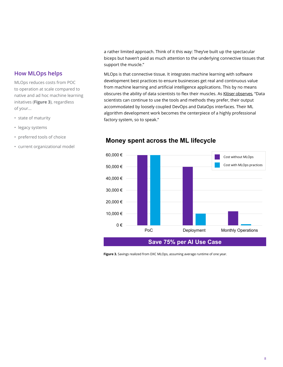### **How MLOps helps**

MLOps reduces costs from POC to operation at scale compared to native and ad hoc machine learning initatives (**Figure 3**), regardless of your...

- state of maturity
- legacy systems
- preferred tools of choice
- current organizational model

a rather limited approach. Think of it this way: They've built up the spectacular biceps but haven't paid as much attention to the underlying connective tissues that support the muscle."

MLOps is that connective tissue. It integrates machine learning with software development best practices to ensure businesses get real and continuous value from machine learning and artificial intelligence applications. This by no means obscures the ability of data scientists to flex their muscles. As [Klöser observes,](https://blogs.dxc.technology/2021/04/08/elevate-ai-development-by-applying-mlops-principles/) "Data scientists can continue to use the tools and methods they prefer, their output accommodated by loosely coupled DevOps and DataOps interfaces. Their ML algorithm development work becomes the centerpiece of a highly professional factory system, so to speak."



#### **Money spent across the ML lifecycle**

**Figure 3.** Savings realized from DXC MLOps, assuming average runtime of one year.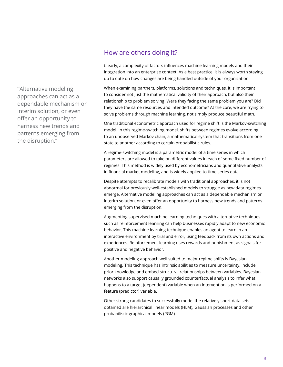**"**Alternative modeling approaches can act as a dependable mechanism or interim solution, or even offer an opportunity to harness new trends and patterns emerging from the disruption."

### How are others doing it?

Clearly, a complexity of factors influences machine learning models and their integration into an enterprise context. As a best practice, it is always worth staying up to date on how changes are being handled outside of your organization.

When examining partners, platforms, solutions and techniques, it is important to consider not just the mathematical validity of their approach, but also their relationship to problem solving. Were they facing the same problem you are? Did they have the same resources and intended outcome? At the core, we are trying to solve problems through machine learning, not simply produce beautiful math.

One traditional econometric approach used for regime shift is the Markov-switching model. In this regime-switching model, shifts between regimes evolve according to an unobserved Markov chain, a mathematical system that transitions from one state to another according to certain probabilistic rules.

A regime-switching model is a parametric model of a time series in which parameters are allowed to take on different values in each of some fixed number of regimes. This method is widely used by econometricians and quantitative analysts in financial market modeling, and is widely applied to time series data.

Despite attempts to recalibrate models with traditional approaches, it is not abnormal for previously well-established models to struggle as new data regimes emerge. Alternative modeling approaches can act as a dependable mechanism or interim solution, or even offer an opportunity to harness new trends and patterns emerging from the disruption.

Augmenting supervised machine learning techniques with alternative techniques such as reinforcement learning can help businesses rapidly adapt to new economic behavior. This machine learning technique enables an agent to learn in an interactive environment by trial and error, using feedback from its own actions and experiences. Reinforcement learning uses rewards and punishment as signals for positive and negative behavior.

Another modeling approach well suited to major regime shifts is Bayesian modeling. This technique has intrinsic abilities to measure uncertainty, include prior knowledge and embed structural relationships between variables. Bayesian networks also support causally grounded counterfactual analysis to infer what happens to a target (dependent) variable when an intervention is performed on a feature (predictor) variable.

Other strong candidates to successfully model the relatively short data sets obtained are hierarchical linear models (HLM), Gaussian processes and other probabilistic graphical models (PGM).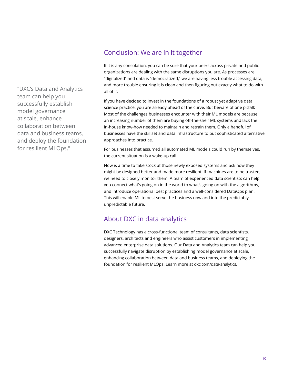"DXC's Data and Analytics team can help you successfully establish model governance at scale, enhance collaboration between data and business teams, and deploy the foundation for resilient MLOps."

### Conclusion: We are in it together

If it is any consolation, you can be sure that your peers across private and public organizations are dealing with the same disruptions you are. As processes are "digitalized" and data is "democratized," we are having less trouble accessing data, and more trouble ensuring it is clean and then figuring out exactly what to do with all of it.

If you have decided to invest in the foundations of a robust yet adaptive data science practice, you are already ahead of the curve. But beware of one pitfall: Most of the challenges businesses encounter with their ML models are because an increasing number of them are buying off-the-shelf ML systems and lack the in-house know-how needed to maintain and retrain them. Only a handful of businesses have the skillset and data infrastructure to put sophisticated alternative approaches into practice.

For businesses that assumed all automated ML models could run by themselves, the current situation is a wake-up call.

Now is a time to take stock at those newly exposed systems and ask how they might be designed better and made more resilient. If machines are to be trusted, we need to closely monitor them. A team of experienced data scientists can help you connect what's going on in the world to what's going on with the algorithms, and introduce operational best practices and a well-considered DataOps plan. This will enable ML to best serve the business now and into the predictably unpredictable future.

### About DXC in data analytics

DXC Technology has a cross-functional team of consultants, data scientists, designers, architects and engineers who assist customers in implementing advanced enterprise data solutions. Our Data and Analytics team can help you successfully navigate disruption by establishing model governance at scale, enhancing collaboration between data and business teams, and deploying the foundation for resilient MLOps. Learn more at [dxc.com/data-analytics.](https://dxc.com/us/en/services/analytics-and-engineering/data-and-analytics)